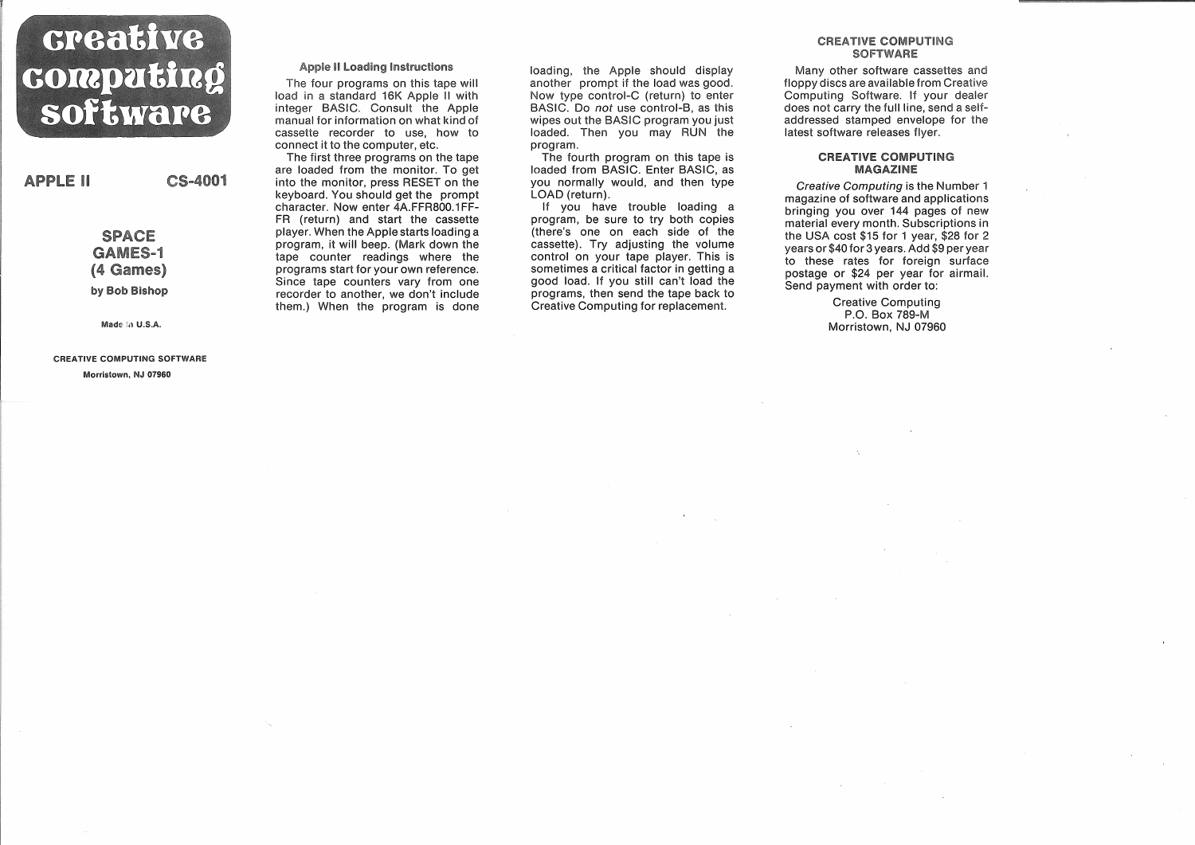# creative computing software

**APPLE II** 

**SPACE GAMES-1** (4 Games) by Bob Bishop

CS-4001

Made in U.S.A.

CREATIVE COMPUTING SOFTWARE Morristown, NJ 07960

## **Apple II Loading Instructions**

The four programs on this tape will load in a standard 16K Apple II with integer BASIC. Consult the Apple manual for information on what kind of cassette recorder to use, how to connect it to the computer, etc.

The first three programs on the tape are loaded from the monitor. To get into the monitor, press RESET on the keyboard. You should get the prompt character. Now enter 4A.FFR800.1FF-FR (return) and start the cassette player. When the Apple starts loading a program, it will beep. (Mark down the tape counter readings where the programs start for your own reference. Since tape counters vary from one recorder to another, we don't include them.) When the program is done

loading, the Apple should display another prompt if the load was good. Now type control-C (return) to enter BASIC. Do not use control-B, as this wipes out the BASIC program you just loaded. Then you may RUN the program.

The fourth program on this tape is loaded from BASIC. Enter BASIC, as you normally would, and then type LOAD (return).

If you have trouble loading a program, be sure to try both copies (there's one on each side of the cassette). Try adjusting the volume control on your tape player. This is sometimes a critical factor in getting a good load. If you still can't load the programs, then send the tape back to Creative Computing for replacement.

#### CREATIVE COMPUTING **SOFTWARE**

Many other software cassettes and floppy discs are available from Creative Computing Software. If your dealer does not carry the full line, send a selfaddressed stamped envelope for the latest software releases flyer.

#### **CREATIVE COMPUTING MAGAZINE**

Creative Computing is the Number 1 magazine of software and applications bringing you over 144 pages of new material every month. Subscriptions in the USA cost \$15 for 1 year, \$28 for 2 years or \$40 for 3 years. Add \$9 per year to these rates for foreign surface postage or \$24 per year for airmail. Send payment with order to:

> Creative Computing P.O. Box 789-M Morristown, NJ 07960